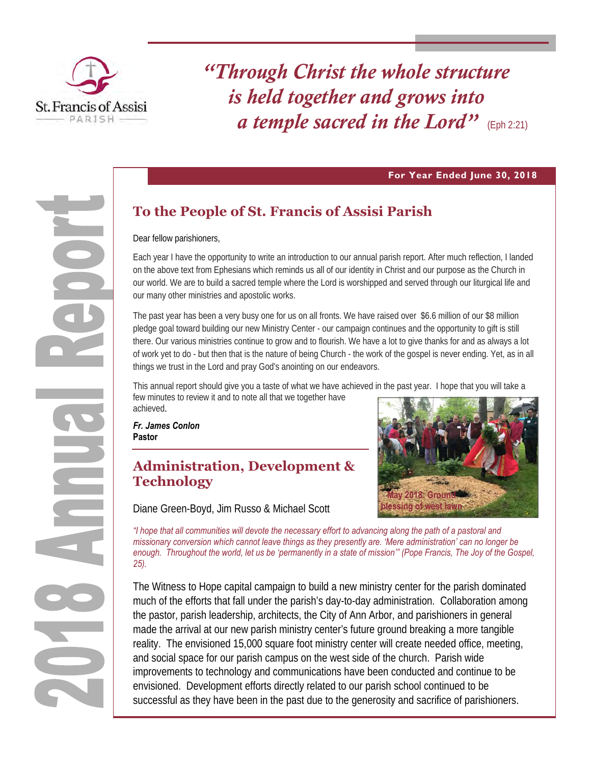

*"Through Christ the whole structure is held together and grows into a temple sacred in the Lord"* (Eph 2:21)

#### **For Year Ended June 30, 2018**

# **To the People of St. Francis of Assisi Parish**

Dear fellow parishioners,

Each year I have the opportunity to write an introduction to our annual parish report. After much reflection, I landed on the above text from Ephesians which reminds us all of our identity in Christ and our purpose as the Church in our world. We are to build a sacred temple where the Lord is worshipped and served through our liturgical life and our many other ministries and apostolic works.

The past year has been a very busy one for us on all fronts. We have raised over \$6.6 million of our \$8 million pledge goal toward building our new Ministry Center - our campaign continues and the opportunity to gift is still there. Our various ministries continue to grow and to flourish. We have a lot to give thanks for and as always a lot of work yet to do - but then that is the nature of being Church - the work of the gospel is never ending. Yet, as in all things we trust in the Lord and pray God's anointing on our endeavors.

This annual report should give you a taste of what we have achieved in the past year. I hope that you will take a few minutes to review it and to note all that we together have achieved.

*Fr. James Conlon* **Pastor** 

# **Administration, Development & Technology**

Diane Green-Boyd, Jim Russo & Michael Scott



*"I hope that all communities will devote the necessary effort to advancing along the path of a pastoral and missionary conversion which cannot leave things as they presently are. 'Mere administration' can no longer be enough. Throughout the world, let us be 'permanently in a state of mission'" (Pope Francis, The Joy of the Gospel, 25).* 

The Witness to Hope capital campaign to build a new ministry center for the parish dominated much of the efforts that fall under the parish's day-to-day administration. Collaboration among the pastor, parish leadership, architects, the City of Ann Arbor, and parishioners in general made the arrival at our new parish ministry center's future ground breaking a more tangible reality. The envisioned 15,000 square foot ministry center will create needed office, meeting, and social space for our parish campus on the west side of the church. Parish wide improvements to technology and communications have been conducted and continue to be envisioned. Development efforts directly related to our parish school continued to be successful as they have been in the past due to the generosity and sacrifice of parishioners.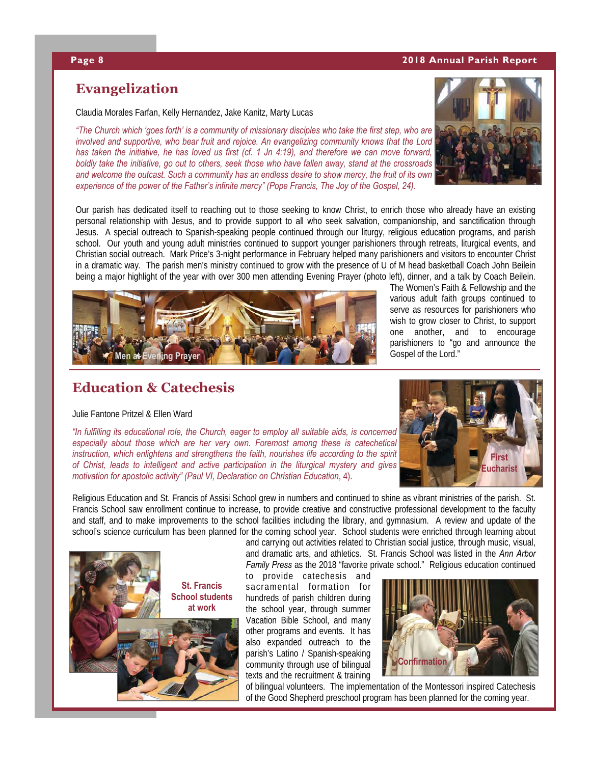#### **Page 8 2018 Annual Parish Report**

## **Evangelization**

Claudia Morales Farfan, Kelly Hernandez, Jake Kanitz, Marty Lucas

*"The Church which 'goes forth' is a community of missionary disciples who take the first step, who are involved and supportive, who bear fruit and rejoice. An evangelizing community knows that the Lord has taken the initiative, he has loved us first (cf. 1 Jn 4:19), and therefore we can move forward, boldly take the initiative, go out to others, seek those who have fallen away, stand at the crossroads and welcome the outcast. Such a community has an endless desire to show mercy, the fruit of its own experience of the power of the Father's infinite mercy" (Pope Francis, The Joy of the Gospel, 24).* 



Our parish has dedicated itself to reaching out to those seeking to know Christ, to enrich those who already have an existing personal relationship with Jesus, and to provide support to all who seek salvation, companionship, and sanctification through Jesus. A special outreach to Spanish-speaking people continued through our liturgy, religious education programs, and parish school. Our youth and young adult ministries continued to support younger parishioners through retreats, liturgical events, and Christian social outreach. Mark Price's 3-night performance in February helped many parishioners and visitors to encounter Christ in a dramatic way. The parish men's ministry continued to grow with the presence of U of M head basketball Coach John Beilein being a major highlight of the year with over 300 men attending Evening Prayer (photo left), dinner, and a talk by Coach Beilein.



The Women's Faith & Fellowship and the various adult faith groups continued to serve as resources for parishioners who wish to grow closer to Christ, to support one another, and to encourage parishioners to "go and announce the Gospel of the Lord."

## **Education & Catechesis**

#### Julie Fantone Pritzel & Ellen Ward

*"In fulfilling its educational role, the Church, eager to employ all suitable aids, is concerned especially about those which are her very own. Foremost among these is catechetical instruction, which enlightens and strengthens the faith, nourishes life according to the spirit of Christ, leads to intelligent and active participation in the liturgical mystery and gives motivation for apostolic activity" (Paul VI, Declaration on Christian Education*, 4).



Religious Education and St. Francis of Assisi School grew in numbers and continued to shine as vibrant ministries of the parish. St. Francis School saw enrollment continue to increase, to provide creative and constructive professional development to the faculty and staff, and to make improvements to the school facilities including the library, and gymnasium. A review and update of the school's science curriculum has been planned for the coming school year. School students were enriched through learning about



*Family Press* as the 2018 "favorite private school." Religious education continued

to provide catechesis and sacramental formation for hundreds of parish children during the school year, through summer Vacation Bible School, and many other programs and events. It has also expanded outreach to the parish's Latino / Spanish-speaking community through use of bilingual texts and the recruitment & training



of bilingual volunteers. The implementation of the Montessori inspired Catechesis of the Good Shepherd preschool program has been planned for the coming year.

and carrying out activities related to Christian social justice, through music, visual, and dramatic arts, and athletics. St. Francis School was listed in the *Ann Arbor*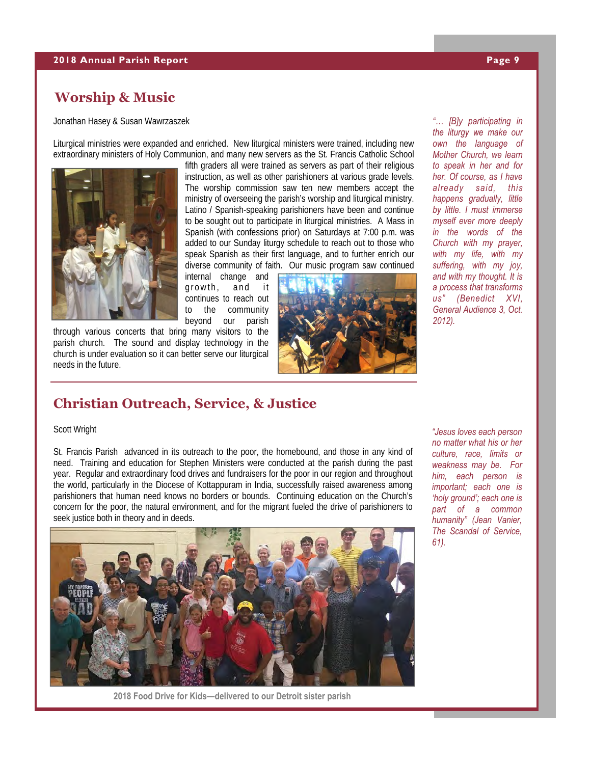## **Worship & Music**

Jonathan Hasey & Susan Wawrzaszek

Liturgical ministries were expanded and enriched. New liturgical ministers were trained, including new extraordinary ministers of Holy Communion, and many new servers as the St. Francis Catholic School



fifth graders all were trained as servers as part of their religious instruction, as well as other parishioners at various grade levels. The worship commission saw ten new members accept the ministry of overseeing the parish's worship and liturgical ministry. Latino / Spanish-speaking parishioners have been and continue to be sought out to participate in liturgical ministries. A Mass in Spanish (with confessions prior) on Saturdays at 7:00 p.m. was added to our Sunday liturgy schedule to reach out to those who speak Spanish as their first language, and to further enrich our diverse community of faith. Our music program saw continued

internal change and growth, and it continues to reach out to the community beyond our parish

through various concerts that bring many visitors to the parish church. The sound and display technology in the church is under evaluation so it can better serve our liturgical needs in the future.



*"… [B]y participating in the liturgy we make our own the language of Mother Church, we learn to speak in her and for her. Of course, as I have already said, this happens gradually, little by little. I must immerse myself ever more deeply in the words of the Church with my prayer, with my life, with my suffering, with my joy, and with my thought. It is a process that transforms us" (Benedict XVI, General Audience 3, Oct. 2012).* 

## **Christian Outreach, Service, & Justice**

#### Scott Wright

St. Francis Parish advanced in its outreach to the poor, the homebound, and those in any kind of need. Training and education for Stephen Ministers were conducted at the parish during the past year. Regular and extraordinary food drives and fundraisers for the poor in our region and throughout the world, particularly in the Diocese of Kottappuram in India, successfully raised awareness among parishioners that human need knows no borders or bounds. Continuing education on the Church's concern for the poor, the natural environment, and for the migrant fueled the drive of parishioners to seek justice both in theory and in deeds.



**2018 Food Drive for Kids—delivered to our Detroit sister parish** 

*"Jesus loves each person no matter what his or her culture, race, limits or weakness may be. For him, each person is important; each one is 'holy ground'; each one is part of a common humanity" (Jean Vanier, The Scandal of Service, 61).*